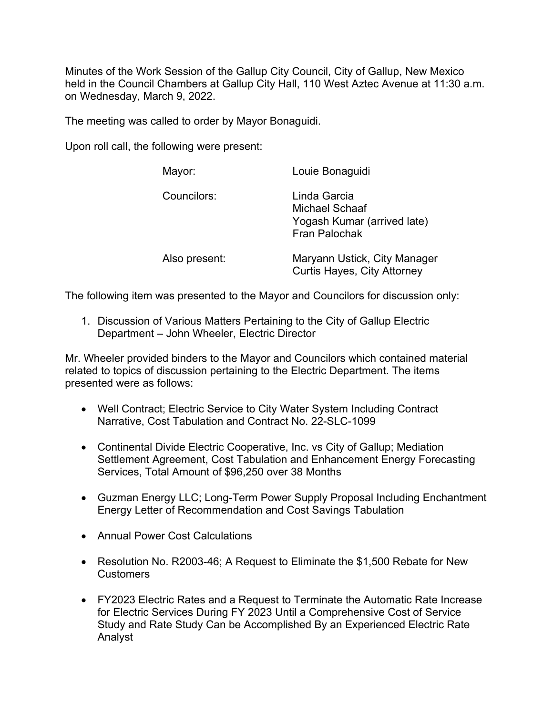Minutes of the Work Session of the Gallup City Council, City of Gallup, New Mexico held in the Council Chambers at Gallup City Hall, 110 West Aztec Avenue at 11:30 a.m. on Wednesday, March 9, 2022.

The meeting was called to order by Mayor Bonaguidi.

Upon roll call, the following were present:

| Mayor:        | Louie Bonaguidi                                                                              |
|---------------|----------------------------------------------------------------------------------------------|
| Councilors:   | Linda Garcia<br><b>Michael Schaaf</b><br>Yogash Kumar (arrived late)<br><b>Fran Palochak</b> |
| Also present: | Maryann Ustick, City Manager<br><b>Curtis Hayes, City Attorney</b>                           |

The following item was presented to the Mayor and Councilors for discussion only:

1. Discussion of Various Matters Pertaining to the City of Gallup Electric Department – John Wheeler, Electric Director

Mr. Wheeler provided binders to the Mayor and Councilors which contained material related to topics of discussion pertaining to the Electric Department. The items presented were as follows:

- Well Contract; Electric Service to City Water System Including Contract Narrative, Cost Tabulation and Contract No. 22-SLC-1099
- Continental Divide Electric Cooperative, Inc. vs City of Gallup; Mediation Settlement Agreement, Cost Tabulation and Enhancement Energy Forecasting Services, Total Amount of \$96,250 over 38 Months
- Guzman Energy LLC; Long-Term Power Supply Proposal Including Enchantment Energy Letter of Recommendation and Cost Savings Tabulation
- Annual Power Cost Calculations
- Resolution No. R2003-46; A Request to Eliminate the \$1,500 Rebate for New Customers
- FY2023 Electric Rates and a Request to Terminate the Automatic Rate Increase for Electric Services During FY 2023 Until a Comprehensive Cost of Service Study and Rate Study Can be Accomplished By an Experienced Electric Rate Analyst